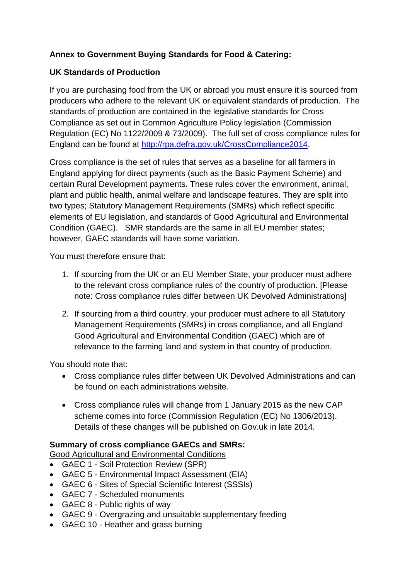# **Annex to Government Buying Standards for Food & Catering:**

## **UK Standards of Production**

If you are purchasing food from the UK or abroad you must ensure it is sourced from producers who adhere to the relevant UK or equivalent standards of production. The standards of production are contained in the legislative standards for Cross Compliance as set out in Common Agriculture Policy legislation (Commission Regulation (EC) No 1122/2009 & 73/2009). The full set of cross compliance rules for England can be found at [http://rpa.defra.gov.uk/CrossCompliance2014.](http://rpa.defra.gov.uk/CrossCompliance2014)

Cross compliance is the set of rules that serves as a baseline for all farmers in England applying for direct payments (such as the Basic Payment Scheme) and certain Rural Development payments. These rules cover the environment, animal, plant and public health, animal welfare and landscape features. They are split into two types; Statutory Management Requirements (SMRs) which reflect specific elements of EU legislation, and standards of Good Agricultural and Environmental Condition (GAEC). SMR standards are the same in all EU member states; however, GAEC standards will have some variation.

You must therefore ensure that:

- 1. If sourcing from the UK or an EU Member State, your producer must adhere to the relevant cross compliance rules of the country of production. [Please note: Cross compliance rules differ between UK Devolved Administrations]
- 2. If sourcing from a third country, your producer must adhere to all Statutory Management Requirements (SMRs) in cross compliance, and all England Good Agricultural and Environmental Condition (GAEC) which are of relevance to the farming land and system in that country of production.

You should note that:

- Cross compliance rules differ between UK Devolved Administrations and can be found on each administrations website.
- Cross compliance rules will change from 1 January 2015 as the new CAP scheme comes into force (Commission Regulation (EC) No 1306/2013). Details of these changes will be published on Gov.uk in late 2014.

### **Summary of cross compliance GAECs and SMRs:**

Good Agricultural and Environmental Conditions

- GAEC 1 Soil Protection Review (SPR)
- GAEC 5 Environmental Impact Assessment (EIA)
- GAEC 6 Sites of Special Scientific Interest (SSSIs)
- GAEC 7 Scheduled monuments
- GAEC 8 Public rights of way
- GAEC 9 Overgrazing and unsuitable supplementary feeding
- GAEC 10 Heather and grass burning